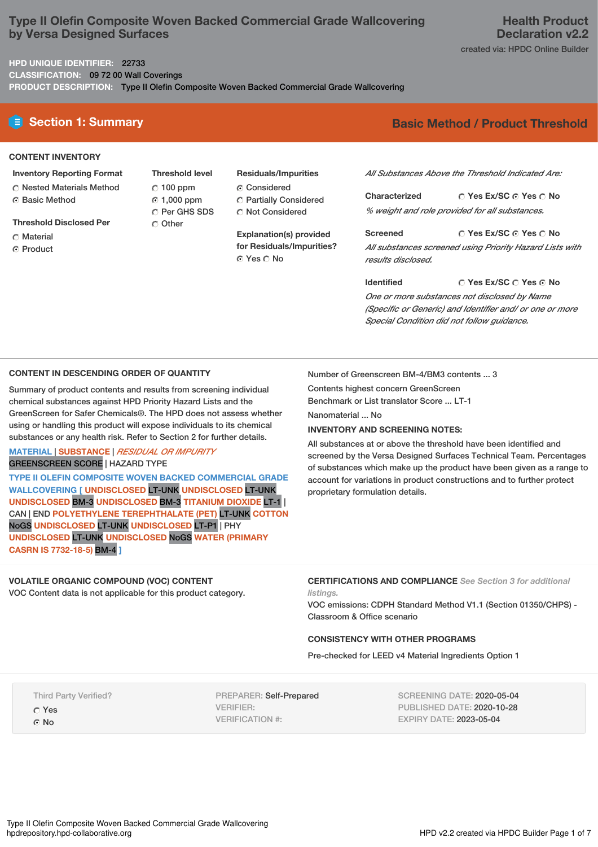# **Type II Olefin Composite Woven Backed Commercial Grade Wallcovering by Versa Designed Surfaces**

**HPD UNIQUE IDENTIFIER:** 22733

**CLASSIFICATION:** 09 72 00 Wall Coverings

**PRODUCT DESCRIPTION:** Type II Olefin Composite Woven Backed Commercial Grade Wallcovering

## **CONTENT INVENTORY**

- **Inventory Reporting Format** Nested Materials Method Basic Method
- **Threshold Disclosed Per**
- **C** Material
- ⊙ Product
- **Threshold level**  $C$  100 ppm 1,000 ppm O Per GHS SDS C Other
- **Residuals/Impurities** Considered
- Partially Considered  $\bigcirc$  Not Considered

**Explanation(s) provided for Residuals/Impurities?** ⊙ Yes  $\bigcirc$  No

# **E** Section 1: Summary **Basic Method / Product Threshold**

*All Substances Above the Threshold Indicated Are:*

 **Yes Ex/SC Yes No Characterized** *% weight and role provided for all substances.*

 **Yes Ex/SC Yes No Screened** *All substances screened using Priority Hazard Lists with results disclosed.*

**C Yes Ex/SC C Yes ⊙ No Identified** *One or more substances not disclosed by Name (Specific or Generic) and Identifier and/ or one or more Special Condition did not follow guidance.*

#### **CONTENT IN DESCENDING ORDER OF QUANTITY**

Summary of product contents and results from screening individual chemical substances against HPD Priority Hazard Lists and the GreenScreen for Safer Chemicals®. The HPD does not assess whether using or handling this product will expose individuals to its chemical substances or any health risk. Refer to Section 2 for further details.

#### **MATERIAL** | **SUBSTANCE** | *RESIDUAL OR IMPURITY* GREENSCREEN SCORE | HAZARD TYPE

**TYPE II OLEFIN COMPOSITE WOVEN BACKED COMMERCIAL GRADE WALLCOVERING [ UNDISCLOSED** LT-UNK **UNDISCLOSED** LT-UNK **UNDISCLOSED** BM-3 **UNDISCLOSED** BM-3 **TITANIUM DIOXIDE** LT-1 | CAN | END **POLYETHYLENE TEREPHTHALATE (PET)** LT-UNK **COTTON** NoGS **UNDISCLOSED** LT-UNK **UNDISCLOSED** LT-P1 | PHY **UNDISCLOSED** LT-UNK **UNDISCLOSED** NoGS **WATER (PRIMARY CASRN IS 7732-18-5)** BM-4 **]**

## **VOLATILE ORGANIC COMPOUND (VOC) CONTENT**

VOC Content data is not applicable for this product category.

Number of Greenscreen BM-4/BM3 contents ... 3

Contents highest concern GreenScreen Benchmark or List translator Score ... LT-1

Nanomaterial ... No

## **INVENTORY AND SCREENING NOTES:**

All substances at or above the threshold have been identified and screened by the Versa Designed Surfaces Technical Team. Percentages of substances which make up the product have been given as a range to account for variations in product constructions and to further protect proprietary formulation details.

#### **CERTIFICATIONS AND COMPLIANCE** *See Section 3 for additional listings.*

VOC emissions: CDPH Standard Method V1.1 (Section 01350/CHPS) - Classroom & Office scenario

## **CONSISTENCY WITH OTHER PROGRAMS**

Pre-checked for LEED v4 Material Ingredients Option 1

Third Party Verified?

 Yes G No

PREPARER: Self-Prepared VERIFIER: VERIFICATION #:

SCREENING DATE: 2020-05-04 PUBLISHED DATE: 2020-10-28 EXPIRY DATE: 2023-05-04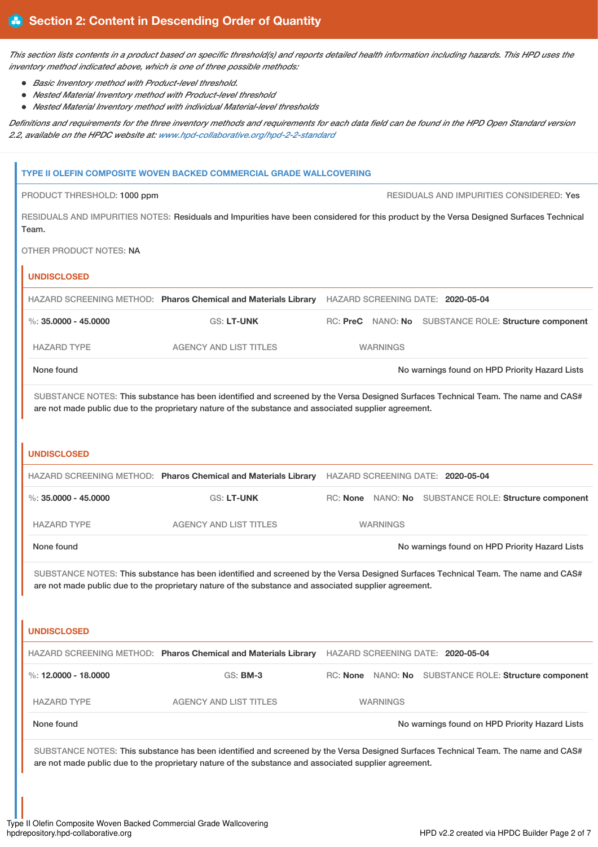*This section lists contents in a product based on specific threshold(s) and reports detailed health information including hazards. This HPD uses the inventory method indicated above, which is one of three possible methods:*

- *Basic Inventory method with Product-level threshold.*
- *Nested Material Inventory method with Product-level threshold*
- *Nested Material Inventory method with individual Material-level thresholds*

*Definitions and requirements for the three inventory methods and requirements for each data field can be found in the HPD Open Standard version 2.2, available on the HPDC website at: [www.hpd-collaborative.org/hpd-2-2-standard](https://www.hpd-collaborative.org/hpd-2-2-standard)*

|                                                                                                                                                                                                                                            | TYPE II OLEFIN COMPOSITE WOVEN BACKED COMMERCIAL GRADE WALLCOVERING                                                                     |  |                 |                                                       |  |
|--------------------------------------------------------------------------------------------------------------------------------------------------------------------------------------------------------------------------------------------|-----------------------------------------------------------------------------------------------------------------------------------------|--|-----------------|-------------------------------------------------------|--|
| PRODUCT THRESHOLD: 1000 ppm                                                                                                                                                                                                                |                                                                                                                                         |  |                 | RESIDUALS AND IMPURITIES CONSIDERED: Yes              |  |
| Team.                                                                                                                                                                                                                                      | RESIDUALS AND IMPURITIES NOTES: Residuals and Impurities have been considered for this product by the Versa Designed Surfaces Technical |  |                 |                                                       |  |
| OTHER PRODUCT NOTES: NA                                                                                                                                                                                                                    |                                                                                                                                         |  |                 |                                                       |  |
| <b>UNDISCLOSED</b>                                                                                                                                                                                                                         |                                                                                                                                         |  |                 |                                                       |  |
|                                                                                                                                                                                                                                            | HAZARD SCREENING METHOD: Pharos Chemical and Materials Library                                                                          |  |                 | HAZARD SCREENING DATE: 2020-05-04                     |  |
| %: $35.0000 - 45.0000$                                                                                                                                                                                                                     | <b>GS: LT-UNK</b>                                                                                                                       |  |                 | RC: PreC NANO: No SUBSTANCE ROLE: Structure component |  |
| <b>HAZARD TYPE</b>                                                                                                                                                                                                                         | <b>AGENCY AND LIST TITLES</b>                                                                                                           |  | <b>WARNINGS</b> |                                                       |  |
| None found                                                                                                                                                                                                                                 |                                                                                                                                         |  |                 | No warnings found on HPD Priority Hazard Lists        |  |
| SUBSTANCE NOTES: This substance has been identified and screened by the Versa Designed Surfaces Technical Team. The name and CAS#<br>are not made public due to the proprietary nature of the substance and associated supplier agreement. |                                                                                                                                         |  |                 |                                                       |  |
| <b>UNDISCLOSED</b>                                                                                                                                                                                                                         |                                                                                                                                         |  |                 |                                                       |  |
|                                                                                                                                                                                                                                            | HAZARD SCREENING METHOD: Pharos Chemical and Materials Library HAZARD SCREENING DATE: 2020-05-04                                        |  |                 |                                                       |  |
| %: $35,0000 - 45,0000$                                                                                                                                                                                                                     | <b>GS: LT-UNK</b>                                                                                                                       |  |                 | RC: None NANO: No SUBSTANCE ROLE: Structure component |  |
| <b>HAZARD TYPE</b>                                                                                                                                                                                                                         | <b>AGENCY AND LIST TITLES</b>                                                                                                           |  | <b>WARNINGS</b> |                                                       |  |
| None found                                                                                                                                                                                                                                 |                                                                                                                                         |  |                 | No warnings found on HPD Priority Hazard Lists        |  |
| SUBSTANCE NOTES: This substance has been identified and screened by the Versa Designed Surfaces Technical Team. The name and CAS#<br>are not made public due to the proprietary nature of the substance and associated supplier agreement. |                                                                                                                                         |  |                 |                                                       |  |
| <b>UNDISCLOSED</b>                                                                                                                                                                                                                         | HAZARD SCREENING METHOD: Pharos Chemical and Materials Library                                                                          |  |                 | HAZARD SCREENING DATE: 2020-05-04                     |  |
| %: 12.0000 - 18.0000                                                                                                                                                                                                                       | <b>GS: BM-3</b>                                                                                                                         |  |                 | RC: None NANO: No SUBSTANCE ROLE: Structure component |  |
| <b>HAZARD TYPE</b>                                                                                                                                                                                                                         | <b>AGENCY AND LIST TITLES</b>                                                                                                           |  | <b>WARNINGS</b> |                                                       |  |
| None found                                                                                                                                                                                                                                 |                                                                                                                                         |  |                 | No warnings found on HPD Priority Hazard Lists        |  |
| SUBSTANCE NOTES: This substance has been identified and screened by the Versa Designed Surfaces Technical Team. The name and CAS#<br>are not made public due to the proprietary nature of the substance and associated supplier agreement. |                                                                                                                                         |  |                 |                                                       |  |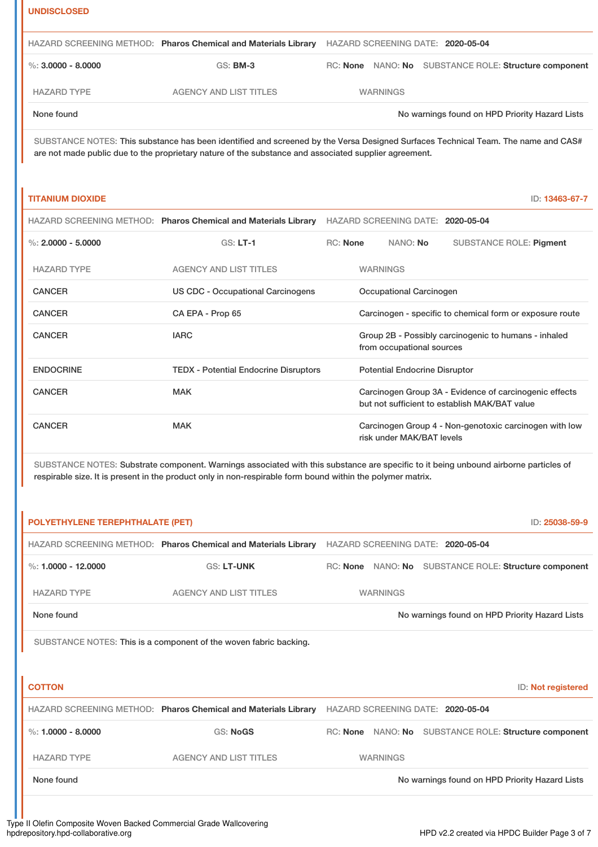#### **UNDISCLOSED**

|                        | HAZARD SCREENING METHOD: Pharos Chemical and Materials Library | HAZARD SCREENING DATE: 2020-05-04 |                                                       |
|------------------------|----------------------------------------------------------------|-----------------------------------|-------------------------------------------------------|
| $\%$ : 3.0000 - 8.0000 | <b>GS: BM-3</b>                                                |                                   | RC: None NANO: No SUBSTANCE ROLE: Structure component |
| <b>HAZARD TYPE</b>     | <b>AGENCY AND LIST TITLES</b>                                  | <b>WARNINGS</b>                   |                                                       |
| None found             |                                                                |                                   | No warnings found on HPD Priority Hazard Lists        |

## SUBSTANCE NOTES: This substance has been identified and screened by the Versa Designed Surfaces Technical Team. The name and CAS# are not made public due to the proprietary nature of the substance and associated supplier agreement.

## **TITANIUM DIOXIDE** ID: **13463-67-7**

|                      | HAZARD SCREENING METHOD: Pharos Chemical and Materials Library | HAZARD SCREENING DATE: 2020-05-04                                                                       |                 |                           |                                                        |
|----------------------|----------------------------------------------------------------|---------------------------------------------------------------------------------------------------------|-----------------|---------------------------|--------------------------------------------------------|
| %: $2.0000 - 5.0000$ | $GS: LT-1$                                                     | <b>RC:</b> None                                                                                         |                 | NANO: <b>No</b>           | <b>SUBSTANCE ROLE: Pigment</b>                         |
| <b>HAZARD TYPE</b>   | <b>AGENCY AND LIST TITLES</b>                                  |                                                                                                         | <b>WARNINGS</b> |                           |                                                        |
| <b>CANCER</b>        | US CDC - Occupational Carcinogens                              | Occupational Carcinogen                                                                                 |                 |                           |                                                        |
| <b>CANCER</b>        | CA EPA - Prop 65                                               | Carcinogen - specific to chemical form or exposure route                                                |                 |                           |                                                        |
| <b>CANCER</b>        | <b>IARC</b>                                                    | Group 2B - Possibly carcinogenic to humans - inhaled<br>from occupational sources                       |                 |                           |                                                        |
| <b>ENDOCRINE</b>     | <b>TEDX</b> - Potential Endocrine Disruptors                   | <b>Potential Endocrine Disruptor</b>                                                                    |                 |                           |                                                        |
| CANCER               | <b>MAK</b>                                                     | Carcinogen Group 3A - Evidence of carcinogenic effects<br>but not sufficient to establish MAK/BAT value |                 |                           |                                                        |
| CANCER               | <b>MAK</b>                                                     |                                                                                                         |                 | risk under MAK/BAT levels | Carcinogen Group 4 - Non-genotoxic carcinogen with low |

SUBSTANCE NOTES: Substrate component. Warnings associated with this substance are specific to it being unbound airborne particles of respirable size. It is present in the product only in non-respirable form bound within the polymer matrix.

| <b>POLYETHYLENE TEREPHTHALATE (PET)</b><br>ID: 25038-59-9 |                                                                   |  |                 |                                                       |  |
|-----------------------------------------------------------|-------------------------------------------------------------------|--|-----------------|-------------------------------------------------------|--|
|                                                           | HAZARD SCREENING METHOD: Pharos Chemical and Materials Library    |  |                 | HAZARD SCREENING DATE: 2020-05-04                     |  |
| %: $1.0000 - 12.0000$                                     | <b>GS: LT-UNK</b>                                                 |  |                 | RC: None NANO: No SUBSTANCE ROLE: Structure component |  |
| <b>HAZARD TYPE</b>                                        | <b>AGENCY AND LIST TITLES</b>                                     |  | <b>WARNINGS</b> |                                                       |  |
| None found                                                |                                                                   |  |                 | No warnings found on HPD Priority Hazard Lists        |  |
|                                                           | SUBSTANCE NOTES: This is a component of the woven fabric backing. |  |                 |                                                       |  |
|                                                           |                                                                   |  |                 |                                                       |  |
| <b>COTTON</b>                                             |                                                                   |  |                 | ID: Not registered                                    |  |
|                                                           | HAZARD SCREENING METHOD: Pharos Chemical and Materials Library    |  |                 | HAZARD SCREENING DATE: 2020-05-04                     |  |
| %: $1.0000 - 8.0000$                                      | <b>GS: NoGS</b>                                                   |  |                 | RC: None NANO: No SUBSTANCE ROLE: Structure component |  |
| <b>HAZARD TYPE</b>                                        | <b>AGENCY AND LIST TITLES</b>                                     |  | <b>WARNINGS</b> |                                                       |  |
| None found                                                |                                                                   |  |                 | No warnings found on HPD Priority Hazard Lists        |  |
|                                                           |                                                                   |  |                 |                                                       |  |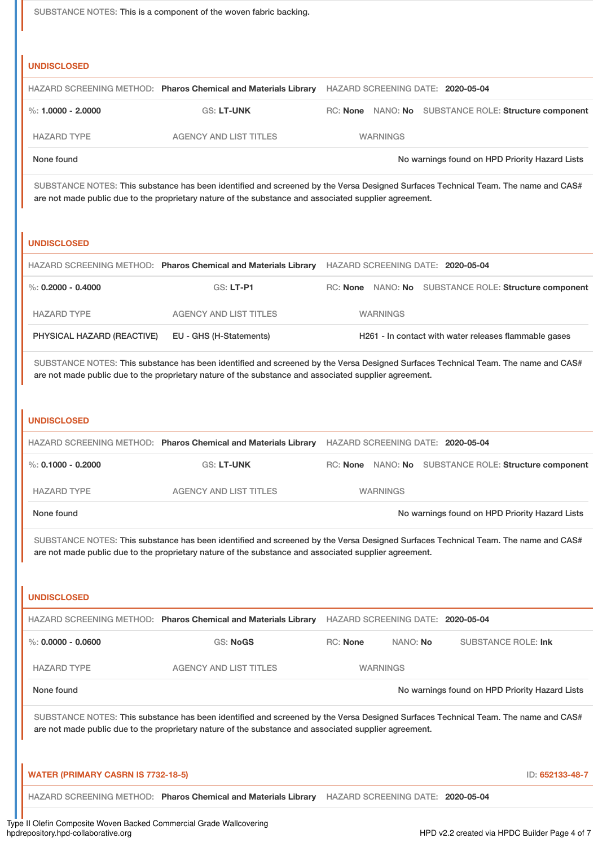SUBSTANCE NOTES: This is a component of the woven fabric backing.

## **UNDISCLOSED**

|                        |                               | HAZARD SCREENING METHOD: Pharos Chemical and Materials Library HAZARD SCREENING DATE: 2020-05-04 |                                                       |  |  |
|------------------------|-------------------------------|--------------------------------------------------------------------------------------------------|-------------------------------------------------------|--|--|
| $\%$ : 1.0000 - 2.0000 | <b>GS: LT-UNK</b>             |                                                                                                  | RC: None NANO: No SUBSTANCE ROLE: Structure component |  |  |
| <b>HAZARD TYPE</b>     | <b>AGENCY AND LIST TITLES</b> | <b>WARNINGS</b>                                                                                  |                                                       |  |  |
| None found             |                               |                                                                                                  | No warnings found on HPD Priority Hazard Lists        |  |  |

SUBSTANCE NOTES: This substance has been identified and screened by the Versa Designed Surfaces Technical Team. The name and CAS# are not made public due to the proprietary nature of the substance and associated supplier agreement.

#### **UNDISCLOSED**

|                            | HAZARD SCREENING METHOD: Pharos Chemical and Materials Library | HAZARD SCREENING DATE: 2020-05-04                        |  |  |  |
|----------------------------|----------------------------------------------------------------|----------------------------------------------------------|--|--|--|
| %: 0.2000 - 0.4000         | $GS: LT- P1$                                                   | NANO: No SUBSTANCE ROLE: Structure component<br>RC: None |  |  |  |
| <b>HAZARD TYPE</b>         | <b>AGENCY AND LIST TITLES</b>                                  | <b>WARNINGS</b>                                          |  |  |  |
| PHYSICAL HAZARD (REACTIVE) | EU - GHS (H-Statements)                                        | H261 - In contact with water releases flammable gases    |  |  |  |

SUBSTANCE NOTES: This substance has been identified and screened by the Versa Designed Surfaces Technical Team. The name and CAS# are not made public due to the proprietary nature of the substance and associated supplier agreement.

#### **UNDISCLOSED**

|                        |                               | HAZARD SCREENING METHOD: Pharos Chemical and Materials Library HAZARD SCREENING DATE: 2020-05-04 |                 |                                                       |  |
|------------------------|-------------------------------|--------------------------------------------------------------------------------------------------|-----------------|-------------------------------------------------------|--|
| $\%$ : 0.1000 - 0.2000 | <b>GS: LT-UNK</b>             |                                                                                                  |                 | RC: None NANO: No SUBSTANCE ROLE: Structure component |  |
| <b>HAZARD TYPE</b>     | <b>AGENCY AND LIST TITLES</b> |                                                                                                  | <b>WARNINGS</b> |                                                       |  |
| None found             |                               |                                                                                                  |                 | No warnings found on HPD Priority Hazard Lists        |  |

SUBSTANCE NOTES: This substance has been identified and screened by the Versa Designed Surfaces Technical Team. The name and CAS# are not made public due to the proprietary nature of the substance and associated supplier agreement.

#### **UNDISCLOSED**

|                      | HAZARD SCREENING METHOD: Pharos Chemical and Materials Library | HAZARD SCREENING DATE: 2020-05-04 |                 |                                                |
|----------------------|----------------------------------------------------------------|-----------------------------------|-----------------|------------------------------------------------|
| %: $0.0000 - 0.0600$ | GS: NoGS                                                       | RC: None                          | NANO: <b>No</b> | SUBSTANCE ROLE: Ink                            |
| <b>HAZARD TYPE</b>   | <b>AGENCY AND LIST TITLES</b>                                  | <b>WARNINGS</b>                   |                 |                                                |
| None found           |                                                                |                                   |                 | No warnings found on HPD Priority Hazard Lists |

SUBSTANCE NOTES: This substance has been identified and screened by the Versa Designed Surfaces Technical Team. The name and CAS# are not made public due to the proprietary nature of the substance and associated supplier agreement.

| WATER (PRIMARY CASRN IS 7732-18-5)                                                               |  | ID: 652133-48-7 |
|--------------------------------------------------------------------------------------------------|--|-----------------|
| HAZARD SCREENING METHOD: Pharos Chemical and Materials Library HAZARD SCREENING DATE: 2020-05-04 |  |                 |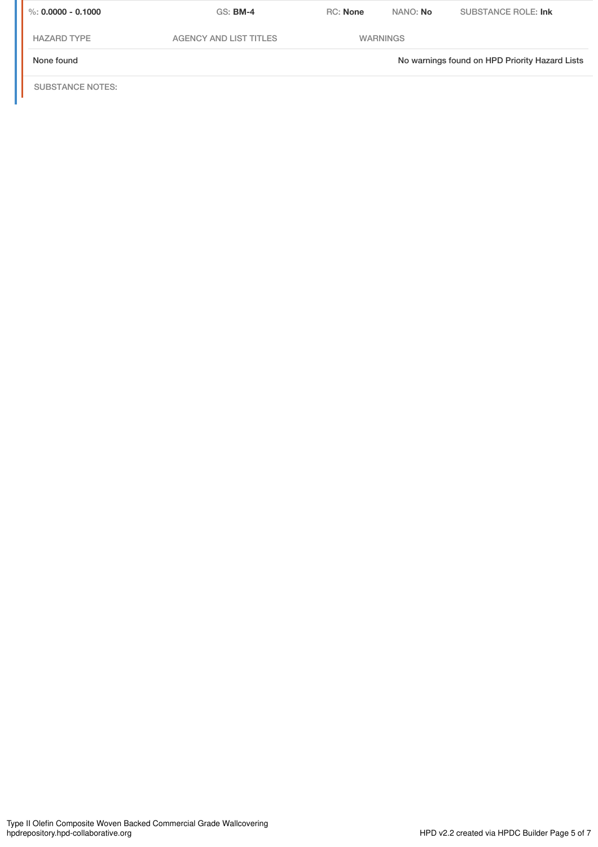| $\%$ : 0.0000 - 0.1000 | $GS:$ BM-4                    | <b>RC:</b> None | NANO: No        | SUBSTANCE ROLE: Ink                            |
|------------------------|-------------------------------|-----------------|-----------------|------------------------------------------------|
| <b>HAZARD TYPE</b>     | <b>AGENCY AND LIST TITLES</b> |                 | <b>WARNINGS</b> |                                                |
| None found             |                               |                 |                 | No warnings found on HPD Priority Hazard Lists |
|                        |                               |                 |                 |                                                |

SUBSTANCE NOTES: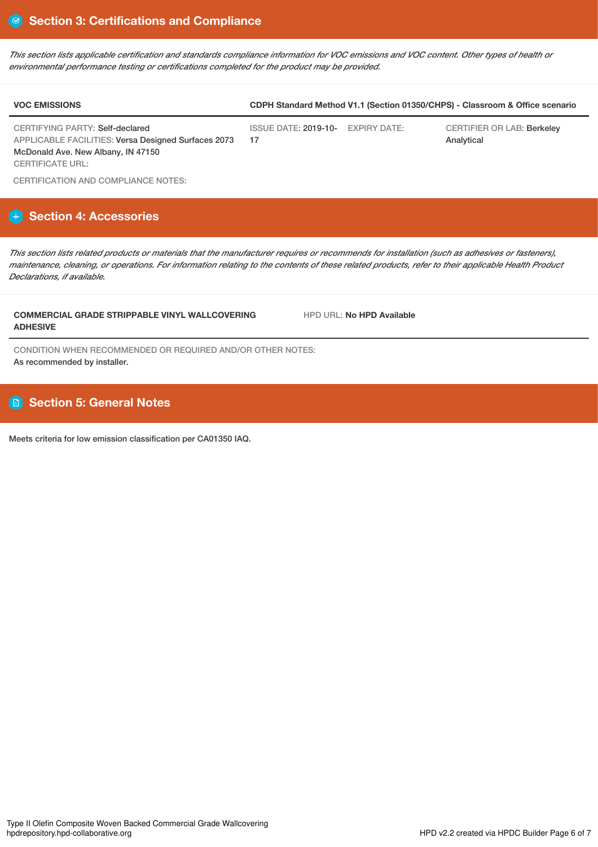*This section lists applicable certification and standards compliance information for VOC emissions and VOC content. Other types of health or environmental performance testing or certifications completed for the product may be provided.*

| <b>VOC EMISSIONS</b>            | CDPH Standard Method V1.1 (Section 01350/CHPS) - Classroom & Office scenario |  |                            |  |  |
|---------------------------------|------------------------------------------------------------------------------|--|----------------------------|--|--|
| CERTIFYING PARTY: Self-declared | ISSUE DATE: 2019-10- EXPIRY DATE:                                            |  | CERTIFIER OR LAB: Berkelev |  |  |

CERTIFYING PARTY: Self-declared APPLICABLE FACILITIES: Versa Designed Surfaces 2073 McDonald Ave. New Albany, IN 47150 CERTIFICATE URL:

17

CERTIFIER OR LAB: Berkeley Analytical

CERTIFICATION AND COMPLIANCE NOTES:

# **Section 4: Accessories**

*This section lists related products or materials that the manufacturer requires or recommends for installation (such as adhesives or fasteners), maintenance, cleaning, or operations. For information relating to the contents of these related products, refer to their applicable Health Product Declarations, if available.*

## **COMMERCIAL GRADE STRIPPABLE VINYL WALLCOVERING ADHESIVE**

HPD URL: **No HPD Available**

CONDITION WHEN RECOMMENDED OR REQUIRED AND/OR OTHER NOTES: As recommended by installer.

# **B** Section 5: General Notes

Meets criteria for low emission classification per CA01350 IAQ.